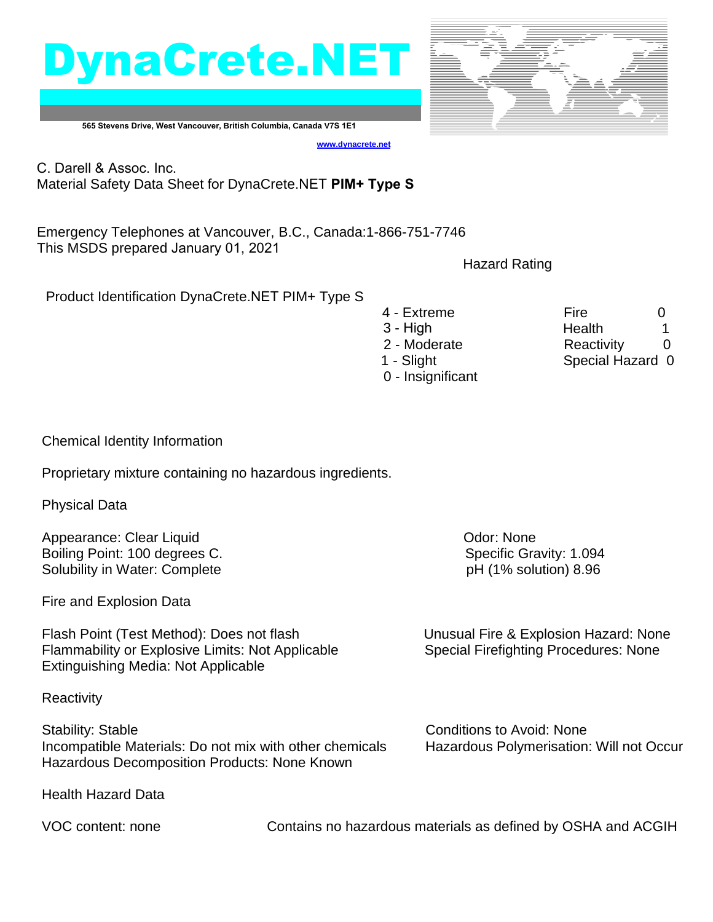## DynaCrete.NET



**565 Stevens Drive, West Vancouver, British Columbia, Canada V7S 1E1**

**[www.dynacrete.](http://www.dynacrete.com/)net**

C. Darell & Assoc. Inc. Material Safety Data Sheet for DynaCrete.NET **PIM+ Type S**

Emergency Telephones at Vancouver, B.C., Canada:1-866-751-7746 This MSDS prepared January 01, 2021

Hazard Rating

Product Identification DynaCrete.NET PIM+ Type S

4 - Extreme Fire 6 3 - High 1 - Health 1 2 - Moderate **Reactivity** 0 1 - Slight Special Hazard 0 0 - Insignificant

Chemical Identity Information

Proprietary mixture containing no hazardous ingredients.

Physical Data

Appearance: Clear Liquid **Contract Clear Liquid** Contract Clear Appearance: Odor: None Boiling Point: 100 degrees C. Specific Gravity: 1.094 Solubility in Water: Complete pH (1% solution) 8.96

Fire and Explosion Data

Flash Point (Test Method): Does not flash Unusual Fire & Explosion Hazard: None Flammability or Explosive Limits: Not Applicable Special Firefighting Procedures: None Extinguishing Media: Not Applicable

**Reactivity** 

Stability: Stable Conditions to Avoid: None Incompatible Materials: Do not mix with other chemicals Hazardous Polymerisation: Will not Occur Hazardous Decomposition Products: None Known

Health Hazard Data

VOC content: none Contains no hazardous materials as defined by OSHA and ACGIH